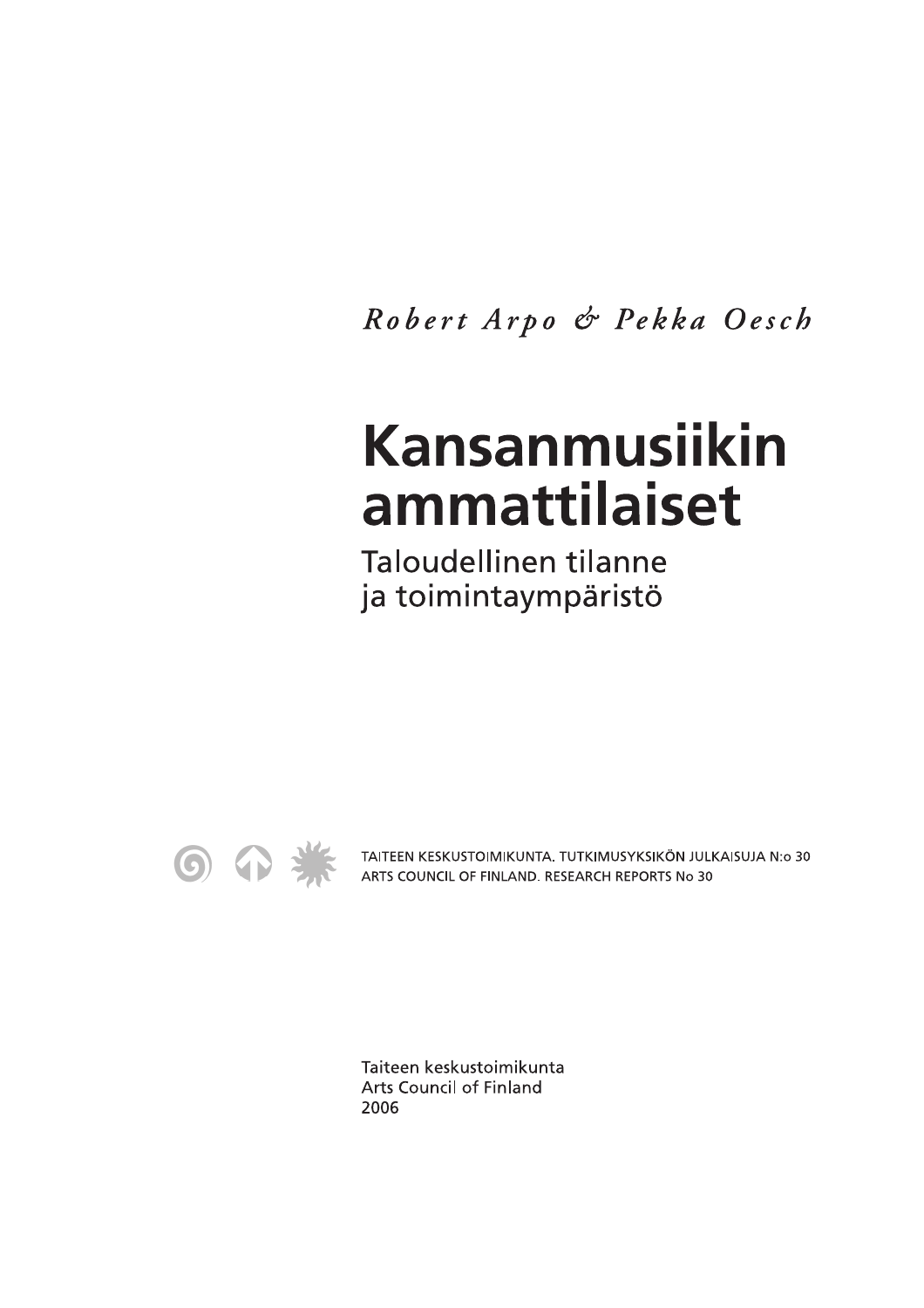Robert Arpo & Pekka Oesch

## Kansanmusiikin ammattilaiset

**Taloudellinen tilanne** ja toimintaympäristö



TAITEEN KESKUSTOIMIKUNTA. TUTKIMUSYKSIKÖN JULKAISUJA N:o 30 ARTS COUNCIL OF FINLAND. RESEARCH REPORTS No 30

Taiteen keskustoimikunta **Arts Council of Finland** 2006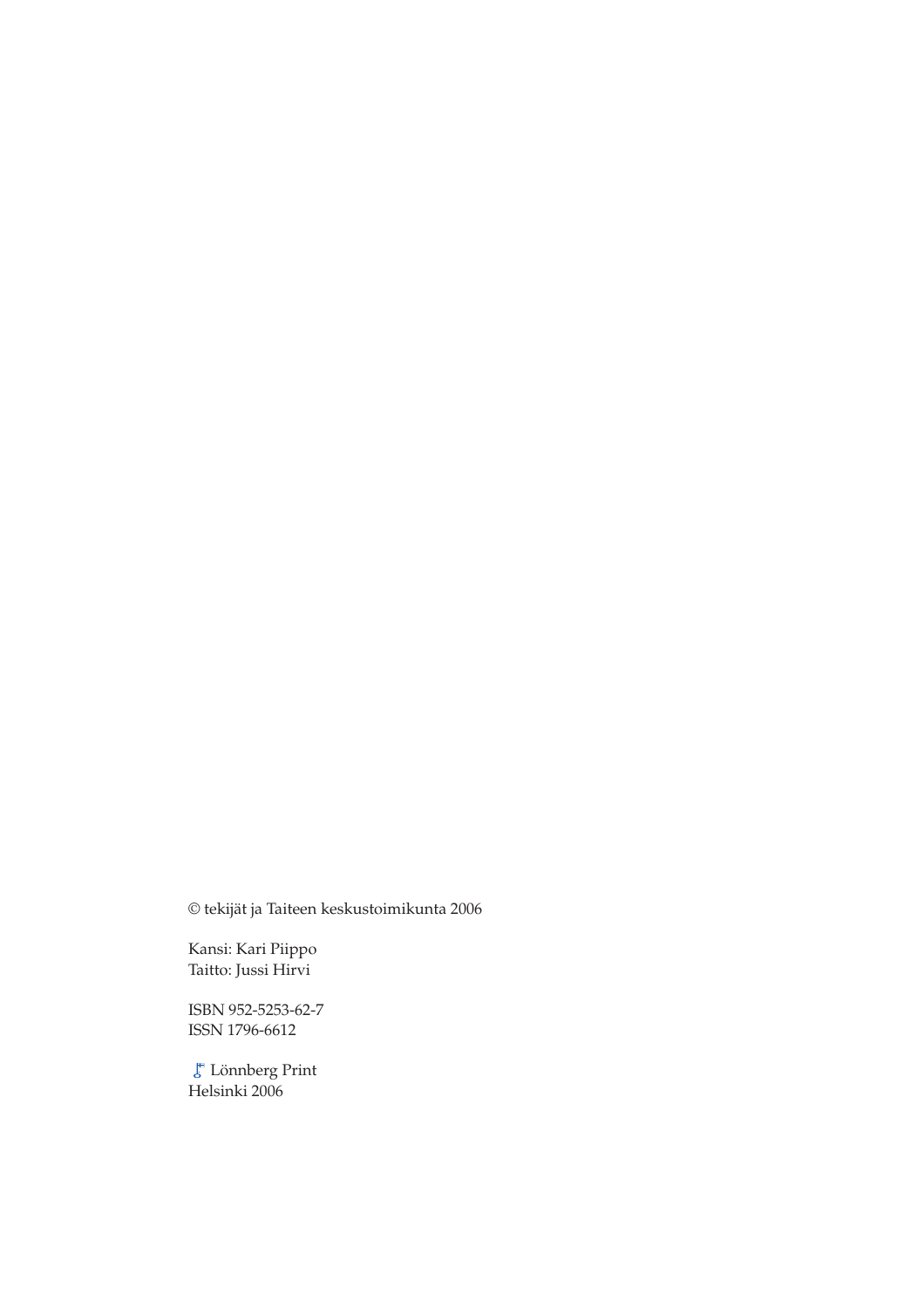© tekijät ja Taiteen keskustoimikunta 2006

Kansi: Kari Piippo Taitto: Jussi Hirvi

ISBN 952-5253-62-7 ISSN 1796-6612

Lönnberg Print Helsinki 2006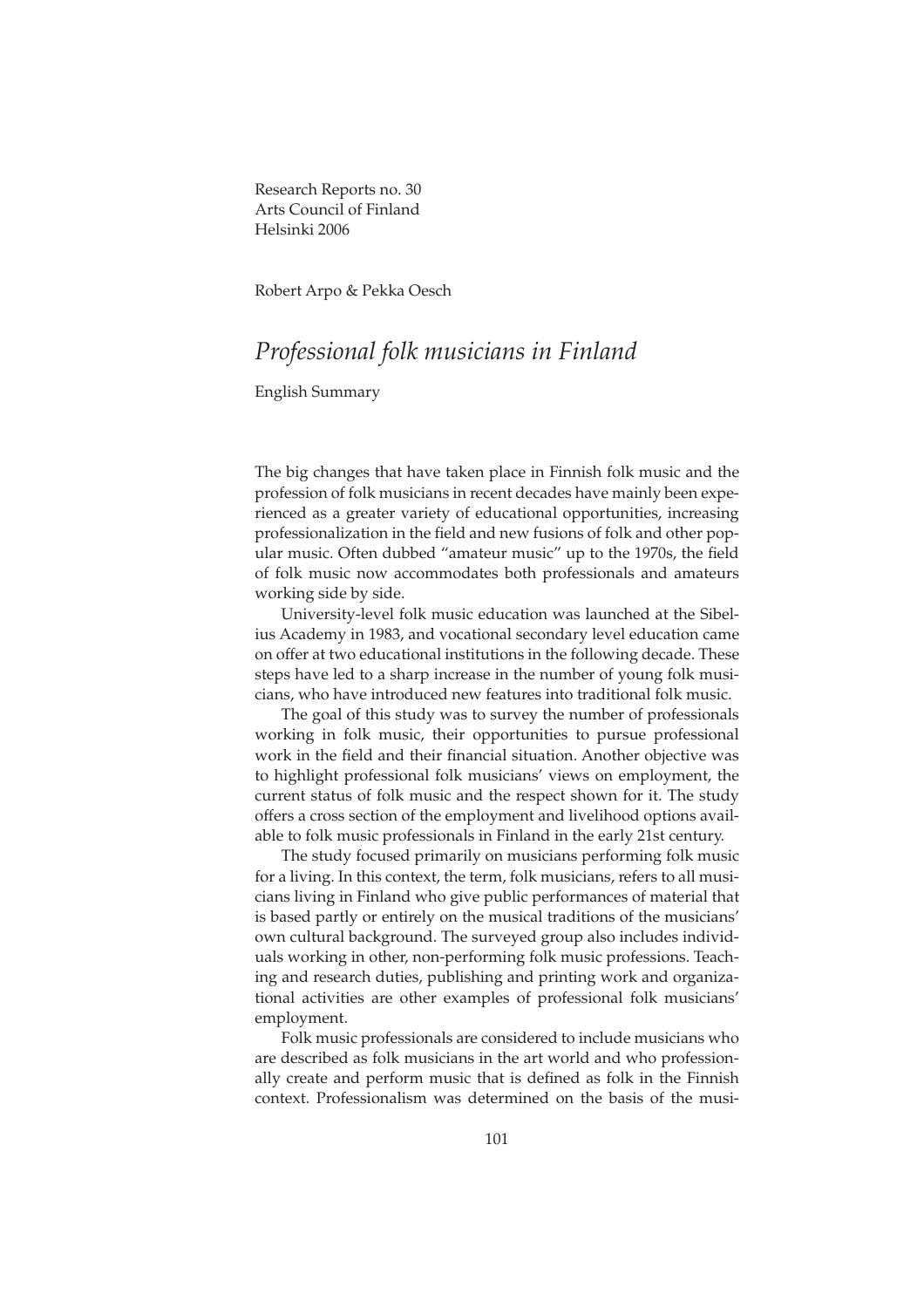Research Reports no. 30 Arts Council of Finland Helsinki 2006

Robert Arpo & Pekka Oesch

## *Professional folk musicians in Finland*

English Summary

The big changes that have taken place in Finnish folk music and the profession of folk musicians in recent decades have mainly been experienced as a greater variety of educational opportunities, increasing professionalization in the field and new fusions of folk and other popular music. Often dubbed "amateur music" up to the 1970s, the field of folk music now accommodates both professionals and amateurs working side by side.

University-level folk music education was launched at the Sibelius Academy in 1983, and vocational secondary level education came on offer at two educational institutions in the following decade. These steps have led to a sharp increase in the number of young folk musicians, who have introduced new features into traditional folk music.

The goal of this study was to survey the number of professionals working in folk music, their opportunities to pursue professional work in the field and their financial situation. Another objective was to highlight professional folk musicians' views on employment, the current status of folk music and the respect shown for it. The study offers a cross section of the employment and livelihood options available to folk music professionals in Finland in the early 21st century.

The study focused primarily on musicians performing folk music for a living. In this context, the term, folk musicians, refers to all musicians living in Finland who give public performances of material that is based partly or entirely on the musical traditions of the musicians' own cultural background. The surveyed group also includes individuals working in other, non-performing folk music professions. Teaching and research duties, publishing and printing work and organizational activities are other examples of professional folk musicians' employment.

Folk music professionals are considered to include musicians who are described as folk musicians in the art world and who professionally create and perform music that is defined as folk in the Finnish context. Professionalism was determined on the basis of the musi-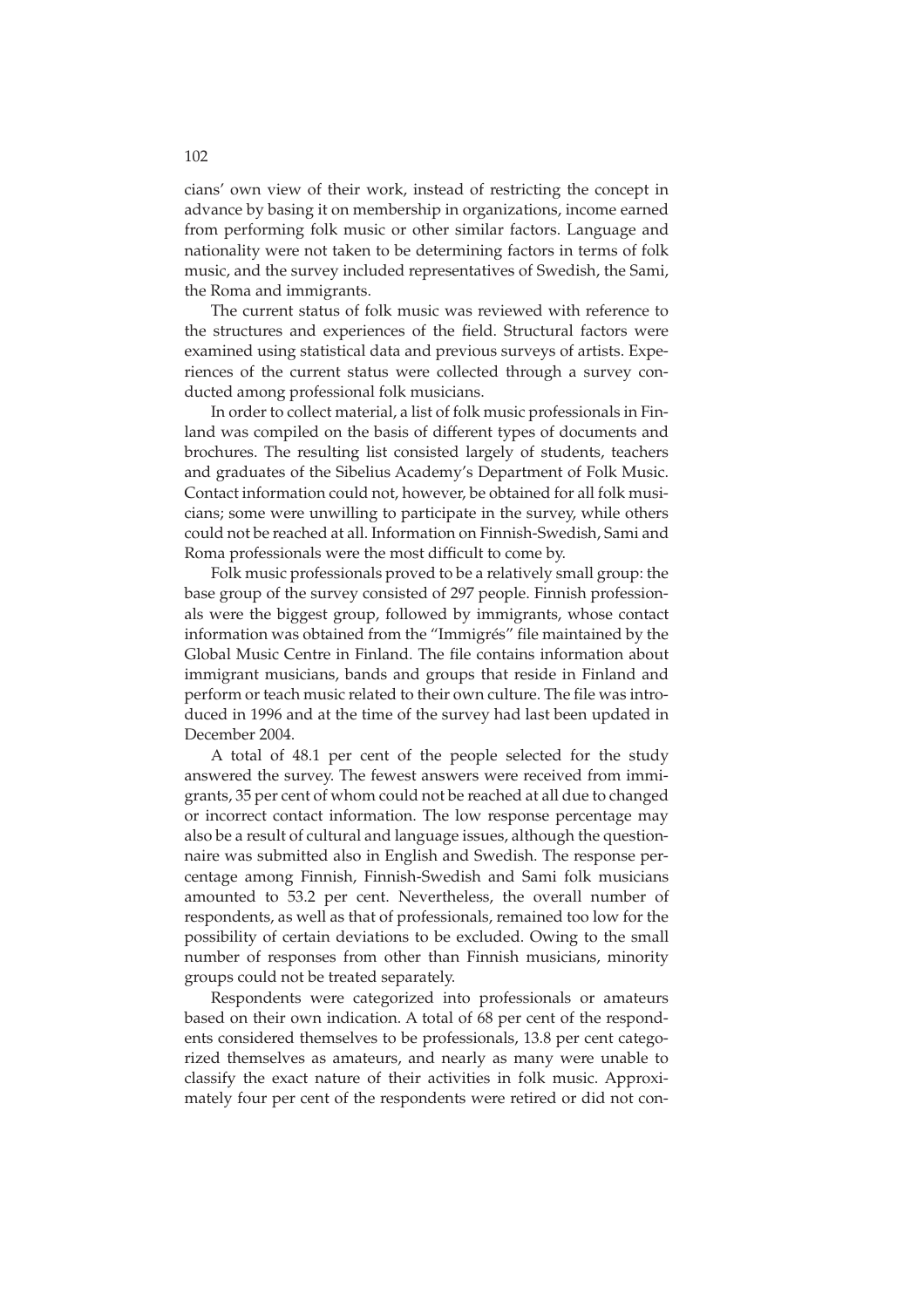cians' own view of their work, instead of restricting the concept in advance by basing it on membership in organizations, income earned from performing folk music or other similar factors. Language and nationality were not taken to be determining factors in terms of folk music, and the survey included representatives of Swedish, the Sami, the Roma and immigrants.

The current status of folk music was reviewed with reference to the structures and experiences of the field. Structural factors were examined using statistical data and previous surveys of artists. Experiences of the current status were collected through a survey conducted among professional folk musicians.

In order to collect material, a list of folk music professionals in Finland was compiled on the basis of different types of documents and brochures. The resulting list consisted largely of students, teachers and graduates of the Sibelius Academy's Department of Folk Music. Contact information could not, however, be obtained for all folk musicians; some were unwilling to participate in the survey, while others could not be reached at all. Information on Finnish-Swedish, Sami and Roma professionals were the most difficult to come by.

Folk music professionals proved to be a relatively small group: the base group of the survey consisted of 297 people. Finnish professionals were the biggest group, followed by immigrants, whose contact information was obtained from the "Immigrés" file maintained by the Global Music Centre in Finland. The file contains information about immigrant musicians, bands and groups that reside in Finland and perform or teach music related to their own culture. The file was introduced in 1996 and at the time of the survey had last been updated in December 2004.

A total of 48.1 per cent of the people selected for the study answered the survey. The fewest answers were received from immigrants, 35 per cent of whom could not be reached at all due to changed or incorrect contact information. The low response percentage may also be a result of cultural and language issues, although the questionnaire was submitted also in English and Swedish. The response percentage among Finnish, Finnish-Swedish and Sami folk musicians amounted to 53.2 per cent. Nevertheless, the overall number of respondents, as well as that of professionals, remained too low for the possibility of certain deviations to be excluded. Owing to the small number of responses from other than Finnish musicians, minority groups could not be treated separately.

Respondents were categorized into professionals or amateurs based on their own indication. A total of 68 per cent of the respondents considered themselves to be professionals, 13.8 per cent categorized themselves as amateurs, and nearly as many were unable to classify the exact nature of their activities in folk music. Approximately four per cent of the respondents were retired or did not con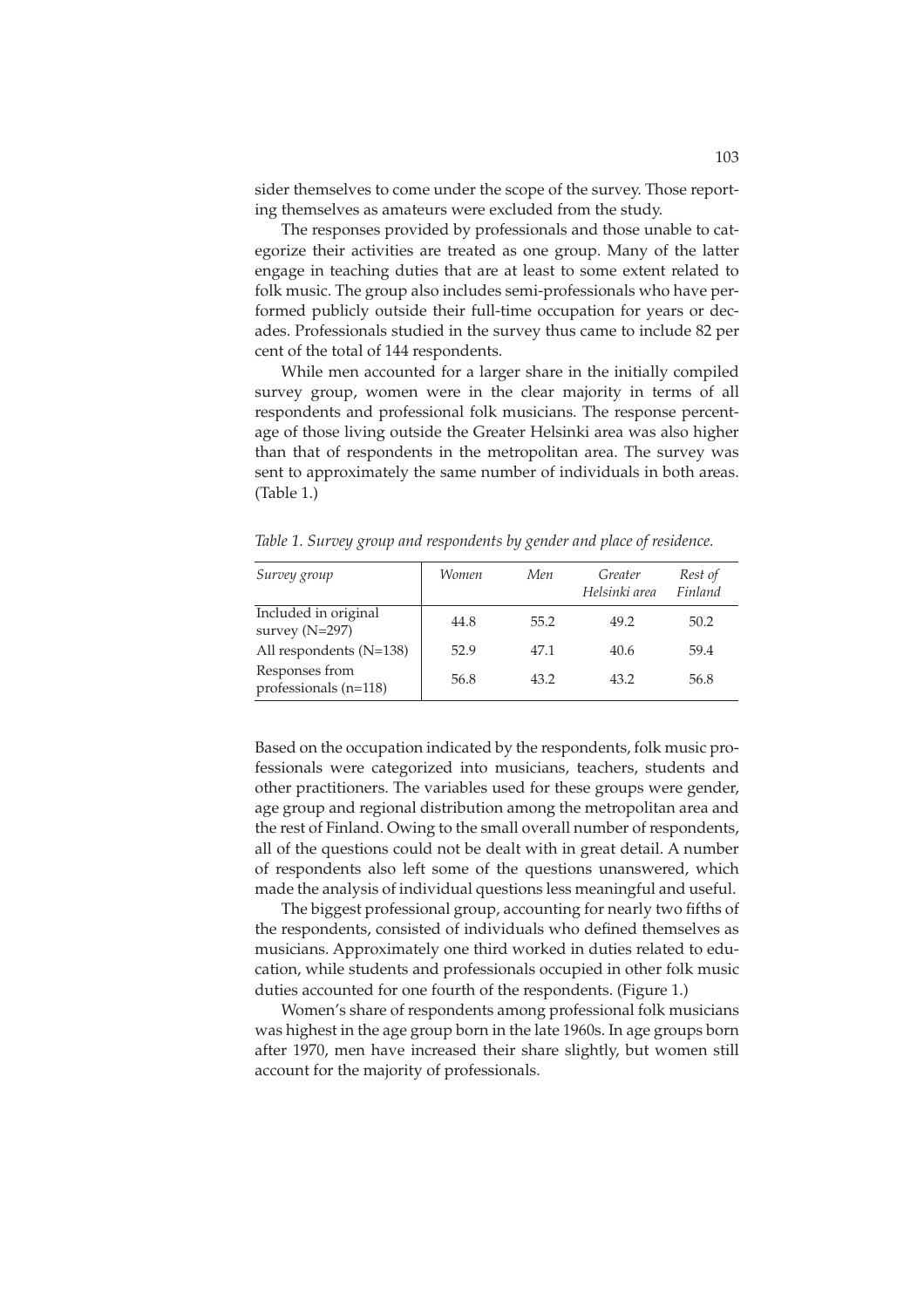sider themselves to come under the scope of the survey. Those reporting themselves as amateurs were excluded from the study.

The responses provided by professionals and those unable to categorize their activities are treated as one group. Many of the latter engage in teaching duties that are at least to some extent related to folk music. The group also includes semi-professionals who have performed publicly outside their full-time occupation for years or decades. Professionals studied in the survey thus came to include 82 per cent of the total of 144 respondents.

While men accounted for a larger share in the initially compiled survey group, women were in the clear majority in terms of all respondents and professional folk musicians. The response percentage of those living outside the Greater Helsinki area was also higher than that of respondents in the metropolitan area. The survey was sent to approximately the same number of individuals in both areas. (Table 1.)

| Survey group                             | Women | Men  | Greater<br>Helsinki area | Rest of<br>Finland |
|------------------------------------------|-------|------|--------------------------|--------------------|
| Included in original<br>survey $(N=297)$ | 44.8  | 55.2 | 49.2                     | 50.2               |
| All respondents (N=138)                  | 52.9  | 47.1 | 40.6                     | 59.4               |
| Responses from<br>professionals (n=118)  | 56.8  | 43.2 | 43.2                     | 56.8               |

*Table 1. Survey group and respondents by gender and place of residence.* 

Based on the occupation indicated by the respondents, folk music professionals were categorized into musicians, teachers, students and other practitioners. The variables used for these groups were gender, age group and regional distribution among the metropolitan area and the rest of Finland. Owing to the small overall number of respondents, all of the questions could not be dealt with in great detail. A number of respondents also left some of the questions unanswered, which made the analysis of individual questions less meaningful and useful.

The biggest professional group, accounting for nearly two fifths of the respondents, consisted of individuals who defined themselves as musicians. Approximately one third worked in duties related to education, while students and professionals occupied in other folk music duties accounted for one fourth of the respondents. (Figure 1.)

Women's share of respondents among professional folk musicians was highest in the age group born in the late 1960s. In age groups born after 1970, men have increased their share slightly, but women still account for the majority of professionals.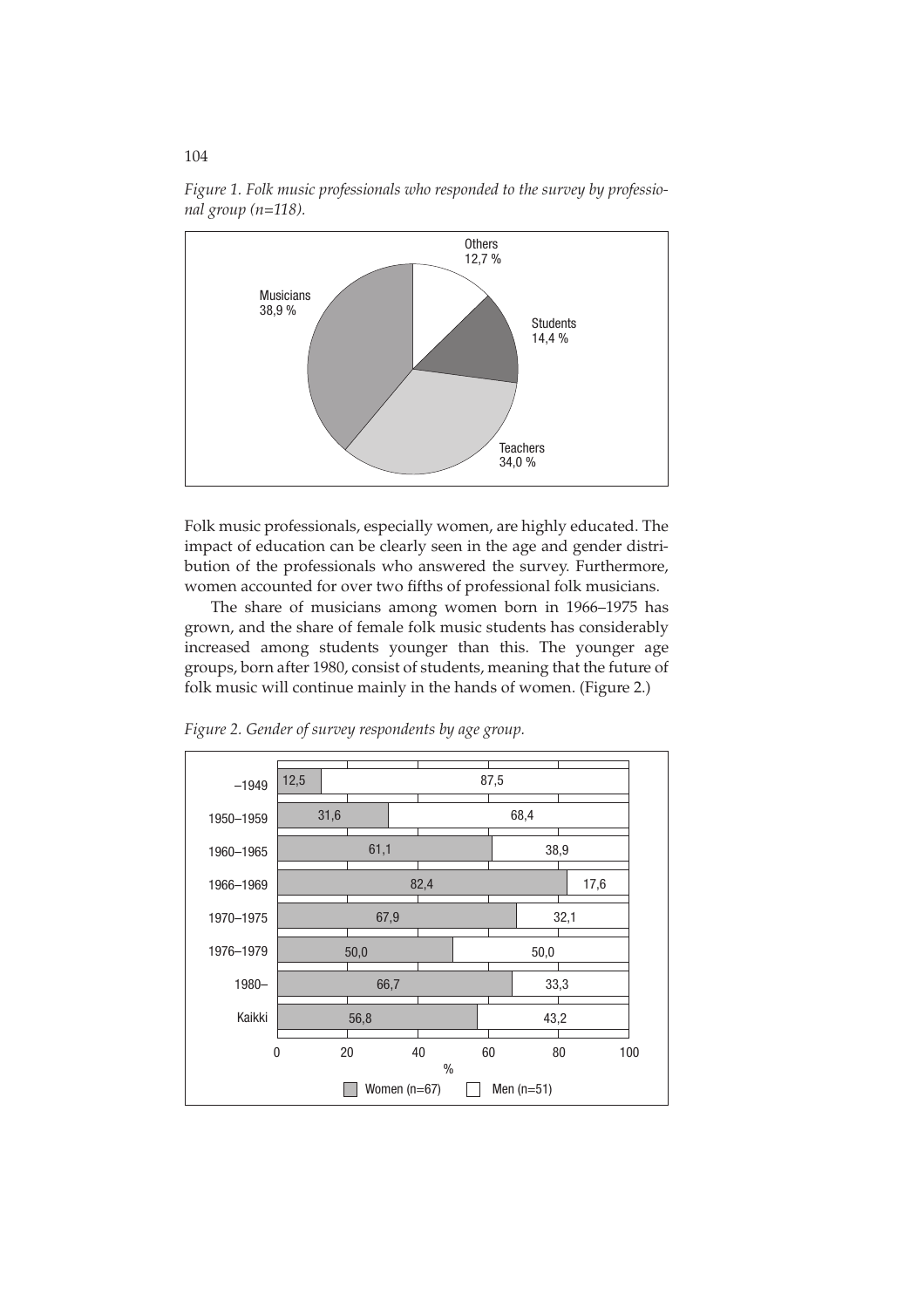

*Figure 1. Folk music professionals who responded to the survey by professional group (n=118).* 

Folk music professionals, especially women, are highly educated. The impact of education can be clearly seen in the age and gender distribution of the professionals who answered the survey. Furthermore, women accounted for over two fifths of professional folk musicians.

The share of musicians among women born in 1966–1975 has grown, and the share of female folk music students has considerably increased among students younger than this. The younger age groups, born after 1980, consist of students, meaning that the future of folk music will continue mainly in the hands of women. (Figure 2.)



*Figure 2. Gender of survey respondents by age group.*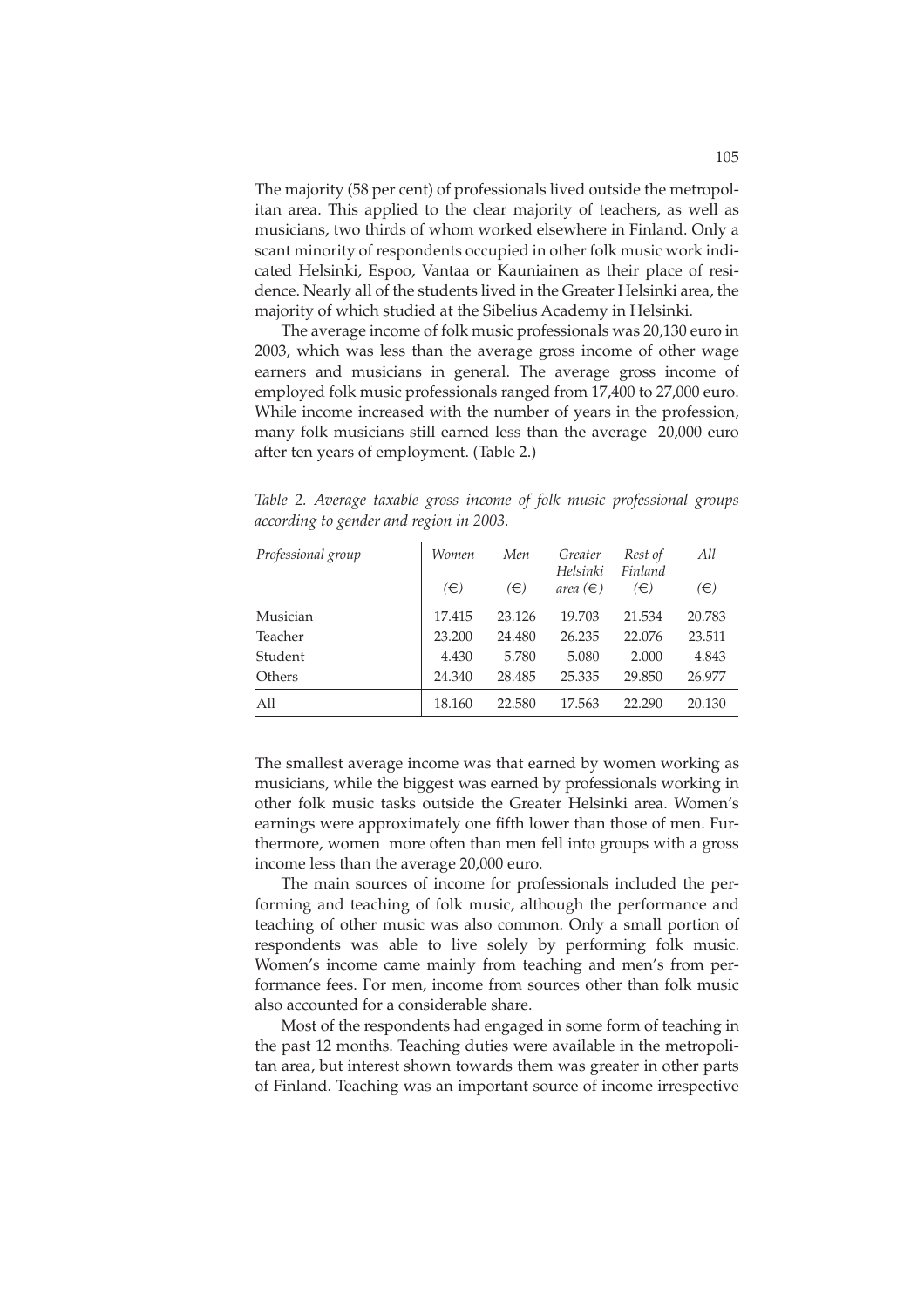The majority (58 per cent) of professionals lived outside the metropolitan area. This applied to the clear majority of teachers, as well as musicians, two thirds of whom worked elsewhere in Finland. Only a scant minority of respondents occupied in other folk music work indicated Helsinki, Espoo, Vantaa or Kauniainen as their place of residence. Nearly all of the students lived in the Greater Helsinki area, the majority of which studied at the Sibelius Academy in Helsinki.

The average income of folk music professionals was 20,130 euro in 2003, which was less than the average gross income of other wage earners and musicians in general. The average gross income of employed folk music professionals ranged from 17,400 to 27,000 euro. While income increased with the number of years in the profession, many folk musicians still earned less than the average 20,000 euro after ten years of employment. (Table 2.)

| Professional group | Women  | Men     | Greater<br>Helsinki | Rest of<br>Finland | All    |
|--------------------|--------|---------|---------------------|--------------------|--------|
|                    | (€)    | $(\in)$ | area $(\in)$        | (€)                | (€)    |
| Musician           | 17.415 | 23.126  | 19.703              | 21.534             | 20.783 |
| Teacher            | 23.200 | 24.480  | 26.235              | 22.076             | 23.511 |
| Student            | 4.430  | 5.780   | 5.080               | 2.000              | 4.843  |
| Others             | 24.340 | 28.485  | 25.335              | 29.850             | 26.977 |
| All                | 18.160 | 22.580  | 17.563              | 22.290             | 20.130 |

*Table 2. Average taxable gross income of folk music professional groups according to gender and region in 2003.* 

The smallest average income was that earned by women working as musicians, while the biggest was earned by professionals working in other folk music tasks outside the Greater Helsinki area. Women's earnings were approximately one fifth lower than those of men. Furthermore, women more often than men fell into groups with a gross income less than the average 20,000 euro.

The main sources of income for professionals included the performing and teaching of folk music, although the performance and teaching of other music was also common. Only a small portion of respondents was able to live solely by performing folk music. Women's income came mainly from teaching and men's from performance fees. For men, income from sources other than folk music also accounted for a considerable share.

Most of the respondents had engaged in some form of teaching in the past 12 months. Teaching duties were available in the metropolitan area, but interest shown towards them was greater in other parts of Finland. Teaching was an important source of income irrespective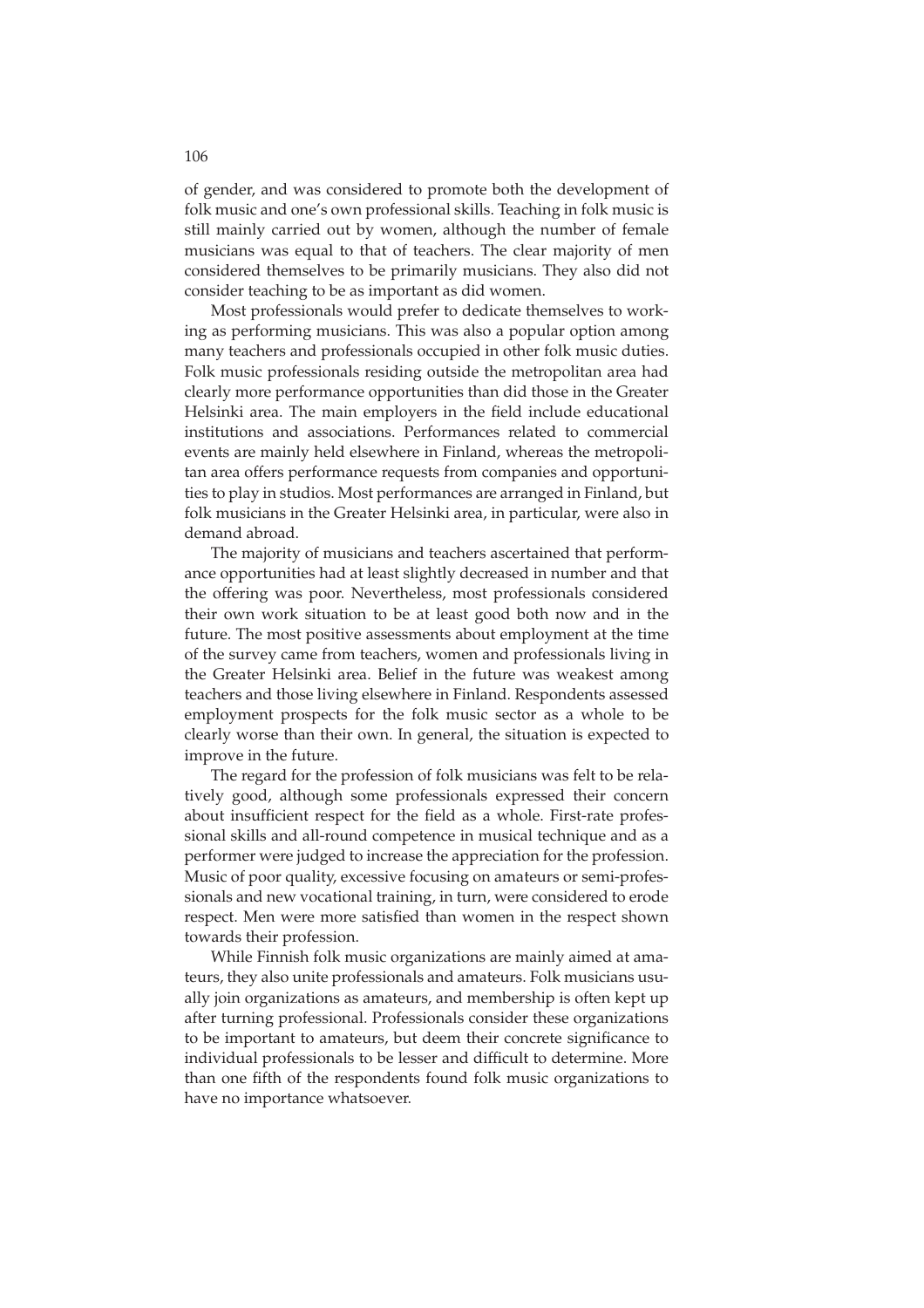of gender, and was considered to promote both the development of folk music and one's own professional skills. Teaching in folk music is still mainly carried out by women, although the number of female musicians was equal to that of teachers. The clear majority of men considered themselves to be primarily musicians. They also did not consider teaching to be as important as did women.

Most professionals would prefer to dedicate themselves to working as performing musicians. This was also a popular option among many teachers and professionals occupied in other folk music duties. Folk music professionals residing outside the metropolitan area had clearly more performance opportunities than did those in the Greater Helsinki area. The main employers in the field include educational institutions and associations. Performances related to commercial events are mainly held elsewhere in Finland, whereas the metropolitan area offers performance requests from companies and opportunities to play in studios. Most performances are arranged in Finland, but folk musicians in the Greater Helsinki area, in particular, were also in demand abroad.

The majority of musicians and teachers ascertained that performance opportunities had at least slightly decreased in number and that the offering was poor. Nevertheless, most professionals considered their own work situation to be at least good both now and in the future. The most positive assessments about employment at the time of the survey came from teachers, women and professionals living in the Greater Helsinki area. Belief in the future was weakest among teachers and those living elsewhere in Finland. Respondents assessed employment prospects for the folk music sector as a whole to be clearly worse than their own. In general, the situation is expected to improve in the future.

The regard for the profession of folk musicians was felt to be relatively good, although some professionals expressed their concern about insufficient respect for the field as a whole. First-rate professional skills and all-round competence in musical technique and as a performer were judged to increase the appreciation for the profession. Music of poor quality, excessive focusing on amateurs or semi-professionals and new vocational training, in turn, were considered to erode respect. Men were more satisfied than women in the respect shown towards their profession.

While Finnish folk music organizations are mainly aimed at amateurs, they also unite professionals and amateurs. Folk musicians usually join organizations as amateurs, and membership is often kept up after turning professional. Professionals consider these organizations to be important to amateurs, but deem their concrete significance to individual professionals to be lesser and difficult to determine. More than one fifth of the respondents found folk music organizations to have no importance whatsoever.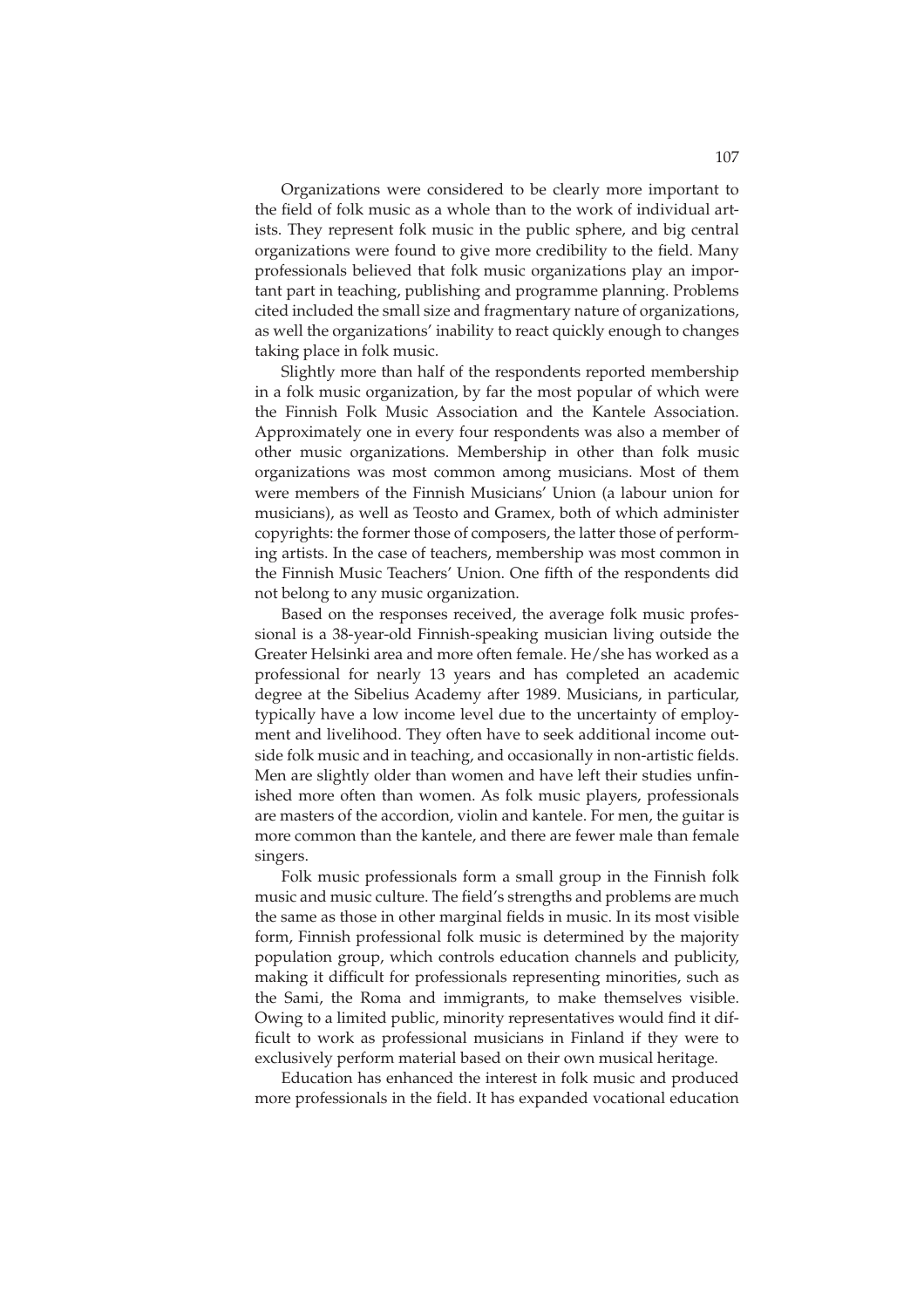Organizations were considered to be clearly more important to the field of folk music as a whole than to the work of individual artists. They represent folk music in the public sphere, and big central organizations were found to give more credibility to the field. Many professionals believed that folk music organizations play an important part in teaching, publishing and programme planning. Problems cited included the small size and fragmentary nature of organizations, as well the organizations' inability to react quickly enough to changes taking place in folk music.

Slightly more than half of the respondents reported membership in a folk music organization, by far the most popular of which were the Finnish Folk Music Association and the Kantele Association. Approximately one in every four respondents was also a member of other music organizations. Membership in other than folk music organizations was most common among musicians. Most of them were members of the Finnish Musicians' Union (a labour union for musicians), as well as Teosto and Gramex, both of which administer copyrights: the former those of composers, the latter those of performing artists. In the case of teachers, membership was most common in the Finnish Music Teachers' Union. One fifth of the respondents did not belong to any music organization.

Based on the responses received, the average folk music professional is a 38-year-old Finnish-speaking musician living outside the Greater Helsinki area and more often female. He/she has worked as a professional for nearly 13 years and has completed an academic degree at the Sibelius Academy after 1989. Musicians, in particular, typically have a low income level due to the uncertainty of employment and livelihood. They often have to seek additional income outside folk music and in teaching, and occasionally in non-artistic fields. Men are slightly older than women and have left their studies unfinished more often than women. As folk music players, professionals are masters of the accordion, violin and kantele. For men, the guitar is more common than the kantele, and there are fewer male than female singers.

Folk music professionals form a small group in the Finnish folk music and music culture. The field's strengths and problems are much the same as those in other marginal fields in music. In its most visible form, Finnish professional folk music is determined by the majority population group, which controls education channels and publicity, making it difficult for professionals representing minorities, such as the Sami, the Roma and immigrants, to make themselves visible. Owing to a limited public, minority representatives would find it difficult to work as professional musicians in Finland if they were to exclusively perform material based on their own musical heritage.

Education has enhanced the interest in folk music and produced more professionals in the field. It has expanded vocational education